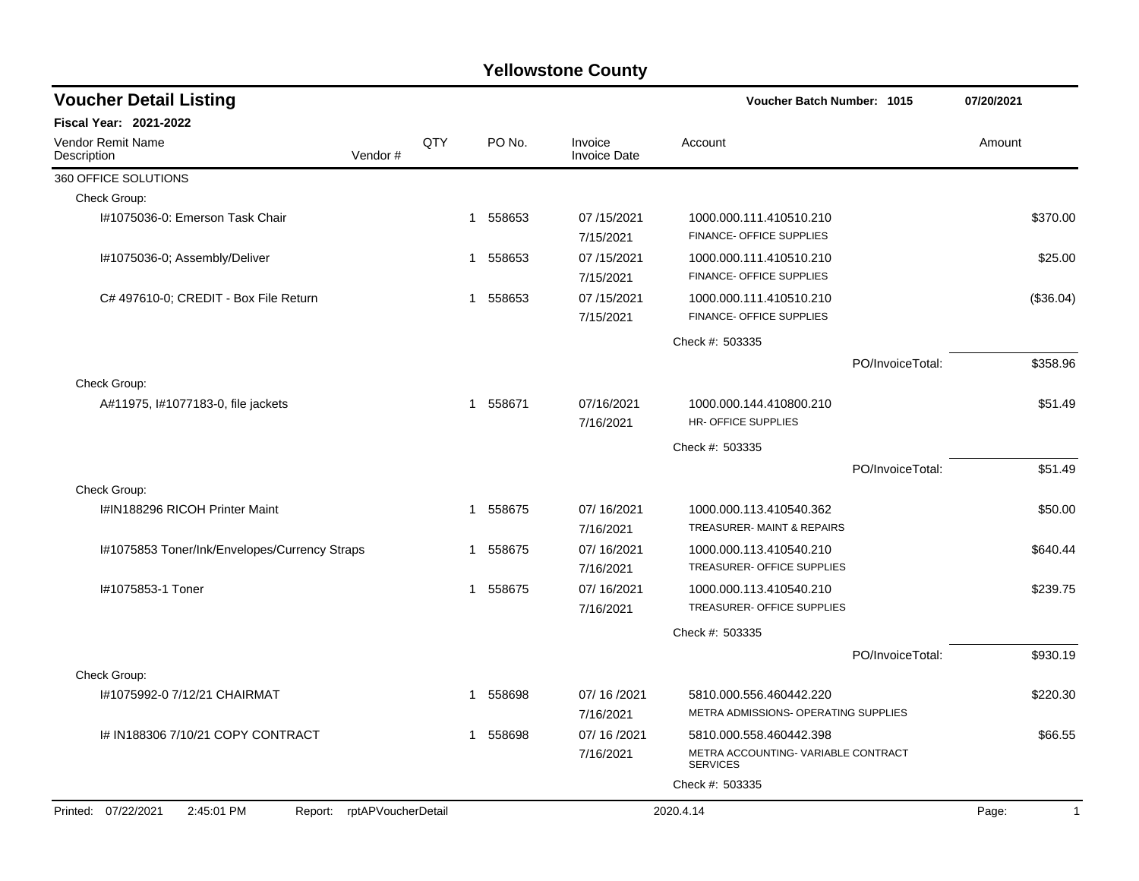| <b>Voucher Detail Listing</b>                      |                    |             | <b>Voucher Batch Number: 1015</b> |                                | 07/20/2021                                                                       |                  |                       |
|----------------------------------------------------|--------------------|-------------|-----------------------------------|--------------------------------|----------------------------------------------------------------------------------|------------------|-----------------------|
| <b>Fiscal Year: 2021-2022</b>                      |                    |             |                                   |                                |                                                                                  |                  |                       |
| Vendor Remit Name<br>Description                   | Vendor#            | <b>QTY</b>  | PO No.                            | Invoice<br><b>Invoice Date</b> | Account                                                                          |                  | Amount                |
| 360 OFFICE SOLUTIONS                               |                    |             |                                   |                                |                                                                                  |                  |                       |
| Check Group:                                       |                    |             |                                   |                                |                                                                                  |                  |                       |
| I#1075036-0: Emerson Task Chair                    |                    |             | 1 558653                          | 07/15/2021<br>7/15/2021        | 1000.000.111.410510.210<br>FINANCE- OFFICE SUPPLIES                              |                  | \$370.00              |
| I#1075036-0; Assembly/Deliver                      |                    | 1.          | 558653                            | 07/15/2021<br>7/15/2021        | 1000.000.111.410510.210<br>FINANCE- OFFICE SUPPLIES                              |                  | \$25.00               |
| C# 497610-0; CREDIT - Box File Return              |                    | 1           | 558653                            | 07/15/2021<br>7/15/2021        | 1000.000.111.410510.210<br>FINANCE- OFFICE SUPPLIES                              |                  | (\$36.04)             |
|                                                    |                    |             |                                   |                                | Check #: 503335                                                                  |                  |                       |
|                                                    |                    |             |                                   |                                |                                                                                  | PO/InvoiceTotal: | \$358.96              |
| Check Group:<br>A#11975, 1#1077183-0, file jackets |                    | 1           | 558671                            | 07/16/2021<br>7/16/2021        | 1000.000.144.410800.210<br>HR- OFFICE SUPPLIES                                   |                  | \$51.49               |
|                                                    |                    |             |                                   |                                | Check #: 503335                                                                  |                  |                       |
|                                                    |                    |             |                                   |                                |                                                                                  | PO/InvoiceTotal: | \$51.49               |
| Check Group:                                       |                    |             |                                   |                                |                                                                                  |                  |                       |
| I#IN188296 RICOH Printer Maint                     |                    | 1           | 558675                            | 07/16/2021<br>7/16/2021        | 1000.000.113.410540.362<br>TREASURER-MAINT & REPAIRS                             |                  | \$50.00               |
| I#1075853 Toner/Ink/Envelopes/Currency Straps      |                    | 1           | 558675                            | 07/16/2021<br>7/16/2021        | 1000.000.113.410540.210<br>TREASURER- OFFICE SUPPLIES                            |                  | \$640.44              |
| I#1075853-1 Toner                                  |                    | $\mathbf 1$ | 558675                            | 07/16/2021<br>7/16/2021        | 1000.000.113.410540.210<br>TREASURER- OFFICE SUPPLIES                            |                  | \$239.75              |
|                                                    |                    |             |                                   |                                | Check #: 503335                                                                  |                  |                       |
|                                                    |                    |             |                                   |                                |                                                                                  | PO/InvoiceTotal: | \$930.19              |
| Check Group:                                       |                    |             |                                   |                                |                                                                                  |                  |                       |
| 1#1075992-0 7/12/21 CHAIRMAT                       |                    | 1           | 558698                            | 07/16/2021<br>7/16/2021        | 5810.000.556.460442.220<br>METRA ADMISSIONS- OPERATING SUPPLIES                  |                  | \$220.30              |
| I# IN188306 7/10/21 COPY CONTRACT                  |                    | 1           | 558698                            | 07/16/2021<br>7/16/2021        | 5810.000.558.460442.398<br>METRA ACCOUNTING-VARIABLE CONTRACT<br><b>SERVICES</b> |                  | \$66.55               |
|                                                    |                    |             |                                   |                                | Check #: 503335                                                                  |                  |                       |
| Printed: 07/22/2021<br>2:45:01 PM<br>Report:       | rptAPVoucherDetail |             |                                   |                                | 2020.4.14                                                                        |                  | Page:<br>$\mathbf{1}$ |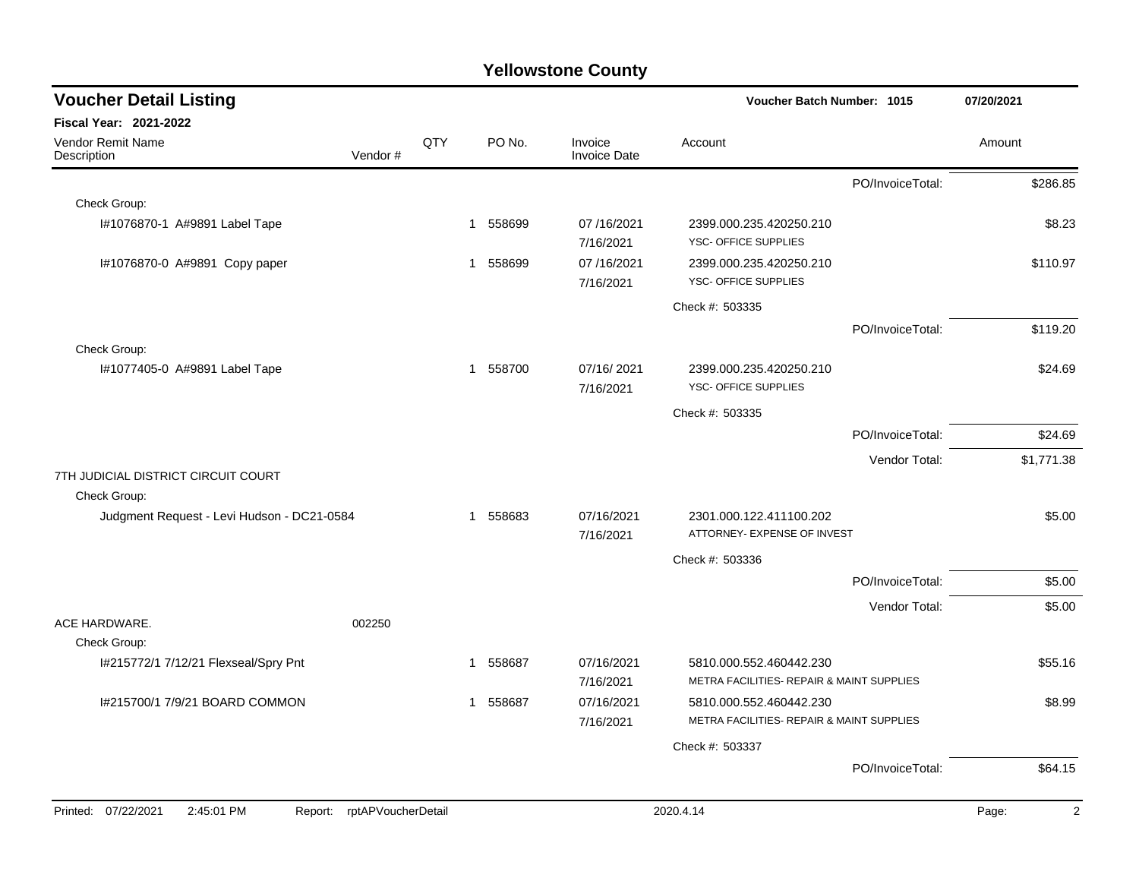| <b>Voucher Detail Listing</b>                                      |     |                        |                                | Voucher Batch Number: 1015                                           |                  | 07/20/2021              |
|--------------------------------------------------------------------|-----|------------------------|--------------------------------|----------------------------------------------------------------------|------------------|-------------------------|
| Fiscal Year: 2021-2022                                             |     |                        |                                |                                                                      |                  |                         |
| Vendor Remit Name<br>Description<br>Vendor#                        | QTY | PO No.                 | Invoice<br><b>Invoice Date</b> | Account                                                              |                  | Amount                  |
|                                                                    |     |                        |                                |                                                                      | PO/InvoiceTotal: | \$286.85                |
| Check Group:                                                       |     |                        |                                |                                                                      |                  |                         |
| I#1076870-1 A#9891 Label Tape                                      |     | 558699<br>$\mathbf 1$  | 07/16/2021<br>7/16/2021        | 2399.000.235.420250.210<br>YSC- OFFICE SUPPLIES                      |                  | \$8.23                  |
| I#1076870-0 A#9891 Copy paper                                      |     | 558699<br>$\mathbf{1}$ | 07/16/2021<br>7/16/2021        | 2399.000.235.420250.210<br><b>YSC- OFFICE SUPPLIES</b>               |                  | \$110.97                |
|                                                                    |     |                        |                                | Check #: 503335                                                      |                  |                         |
|                                                                    |     |                        |                                |                                                                      | PO/InvoiceTotal: | \$119.20                |
| Check Group:                                                       |     |                        |                                |                                                                      |                  |                         |
| I#1077405-0 A#9891 Label Tape                                      |     | 558700<br>$\mathbf{1}$ | 07/16/2021<br>7/16/2021        | 2399.000.235.420250.210<br>YSC- OFFICE SUPPLIES                      |                  | \$24.69                 |
|                                                                    |     |                        |                                | Check #: 503335                                                      |                  |                         |
|                                                                    |     |                        |                                |                                                                      | PO/InvoiceTotal: | \$24.69                 |
|                                                                    |     |                        |                                |                                                                      | Vendor Total:    | \$1,771.38              |
| 7TH JUDICIAL DISTRICT CIRCUIT COURT                                |     |                        |                                |                                                                      |                  |                         |
| Check Group:                                                       |     |                        |                                |                                                                      |                  |                         |
| Judgment Request - Levi Hudson - DC21-0584                         |     | 558683<br>$\mathbf{1}$ | 07/16/2021<br>7/16/2021        | 2301.000.122.411100.202<br>ATTORNEY- EXPENSE OF INVEST               |                  | \$5.00                  |
|                                                                    |     |                        |                                | Check #: 503336                                                      |                  |                         |
|                                                                    |     |                        |                                |                                                                      | PO/InvoiceTotal: | \$5.00                  |
|                                                                    |     |                        |                                |                                                                      | Vendor Total:    | \$5.00                  |
| ACE HARDWARE.<br>002250                                            |     |                        |                                |                                                                      |                  |                         |
| Check Group:                                                       |     |                        |                                |                                                                      |                  |                         |
| I#215772/1 7/12/21 Flexseal/Spry Pnt                               |     | 1 558687               | 07/16/2021<br>7/16/2021        | 5810.000.552.460442.230<br>METRA FACILITIES- REPAIR & MAINT SUPPLIES |                  | \$55.16                 |
| I#215700/1 7/9/21 BOARD COMMON                                     |     | 558687<br>$\mathbf{1}$ | 07/16/2021<br>7/16/2021        | 5810.000.552.460442.230<br>METRA FACILITIES- REPAIR & MAINT SUPPLIES |                  | \$8.99                  |
|                                                                    |     |                        |                                | Check #: 503337                                                      |                  |                         |
|                                                                    |     |                        |                                |                                                                      | PO/InvoiceTotal: | \$64.15                 |
| Printed: 07/22/2021<br>rptAPVoucherDetail<br>2:45:01 PM<br>Report: |     |                        |                                | 2020.4.14                                                            |                  | $\overline{c}$<br>Page: |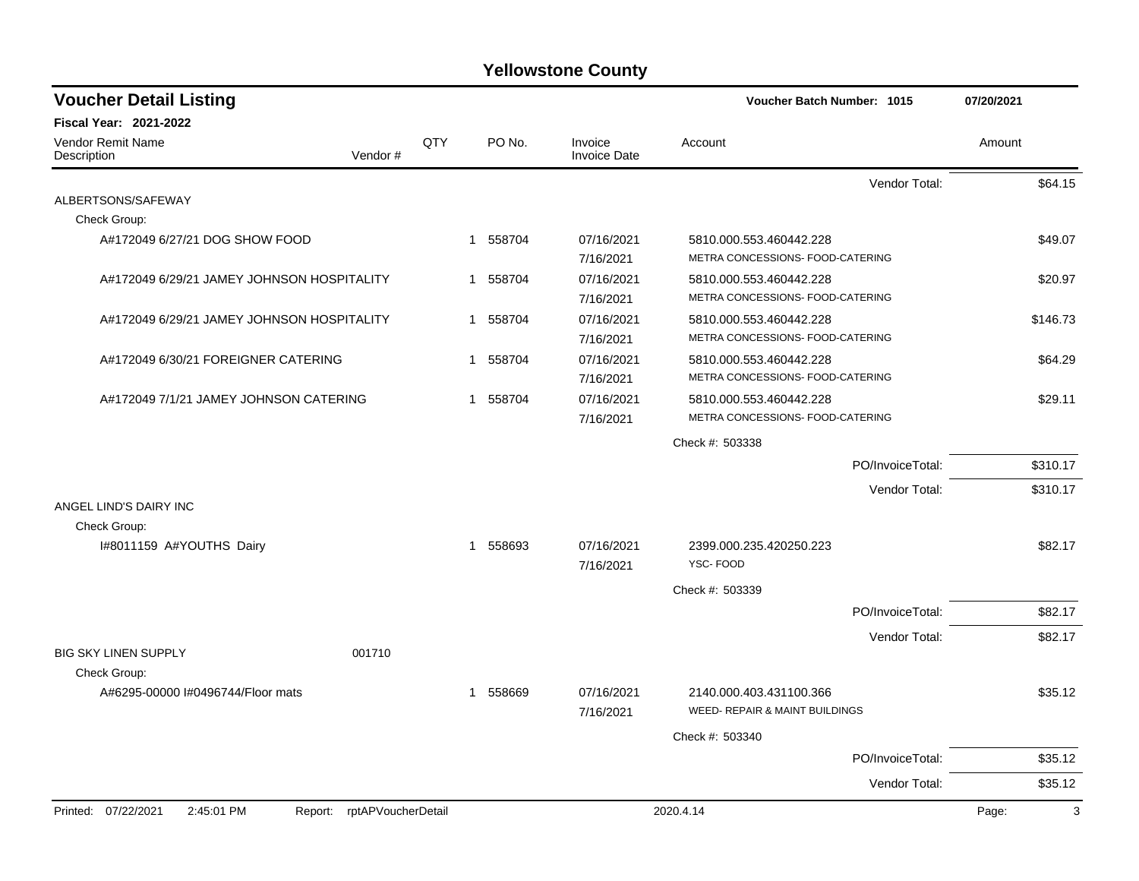| <b>Voucher Detail Listing</b>                |                    |   |          |                                | <b>Voucher Batch Number: 1015</b>                         | 07/20/2021 |
|----------------------------------------------|--------------------|---|----------|--------------------------------|-----------------------------------------------------------|------------|
| Fiscal Year: 2021-2022                       |                    |   |          |                                |                                                           |            |
| Vendor Remit Name<br>Vendor#<br>Description  | QTY                |   | PO No.   | Invoice<br><b>Invoice Date</b> | Account                                                   | Amount     |
|                                              |                    |   |          |                                | Vendor Total:                                             | \$64.15    |
| ALBERTSONS/SAFEWAY                           |                    |   |          |                                |                                                           |            |
| Check Group:                                 |                    |   |          |                                |                                                           |            |
| A#172049 6/27/21 DOG SHOW FOOD               |                    |   | 1 558704 | 07/16/2021                     | 5810.000.553.460442.228                                   | \$49.07    |
|                                              |                    |   |          | 7/16/2021                      | METRA CONCESSIONS- FOOD-CATERING                          |            |
| A#172049 6/29/21 JAMEY JOHNSON HOSPITALITY   |                    |   | 1 558704 | 07/16/2021                     | 5810.000.553.460442.228                                   | \$20.97    |
|                                              |                    |   |          | 7/16/2021                      | METRA CONCESSIONS- FOOD-CATERING                          |            |
| A#172049 6/29/21 JAMEY JOHNSON HOSPITALITY   |                    |   | 1 558704 | 07/16/2021                     | 5810.000.553.460442.228                                   | \$146.73   |
|                                              |                    |   |          | 7/16/2021                      | METRA CONCESSIONS- FOOD-CATERING                          |            |
| A#172049 6/30/21 FOREIGNER CATERING          |                    |   | 1 558704 | 07/16/2021                     | 5810.000.553.460442.228                                   | \$64.29    |
|                                              |                    |   |          | 7/16/2021                      | METRA CONCESSIONS- FOOD-CATERING                          |            |
| A#172049 7/1/21 JAMEY JOHNSON CATERING       |                    |   | 1 558704 | 07/16/2021                     | 5810.000.553.460442.228                                   | \$29.11    |
|                                              |                    |   |          | 7/16/2021                      | METRA CONCESSIONS- FOOD-CATERING                          |            |
|                                              |                    |   |          |                                | Check #: 503338                                           |            |
|                                              |                    |   |          |                                | PO/InvoiceTotal:                                          | \$310.17   |
|                                              |                    |   |          |                                | Vendor Total:                                             | \$310.17   |
| ANGEL LIND'S DAIRY INC                       |                    |   |          |                                |                                                           |            |
| Check Group:                                 |                    |   |          |                                |                                                           |            |
| I#8011159 A#YOUTHS Dairy                     |                    |   | 1 558693 | 07/16/2021                     | 2399.000.235.420250.223                                   | \$82.17    |
|                                              |                    |   |          | 7/16/2021                      | YSC-FOOD                                                  |            |
|                                              |                    |   |          |                                | Check #: 503339                                           |            |
|                                              |                    |   |          |                                | PO/InvoiceTotal:                                          | \$82.17    |
|                                              |                    |   |          |                                | Vendor Total:                                             | \$82.17    |
| <b>BIG SKY LINEN SUPPLY</b><br>001710        |                    |   |          |                                |                                                           |            |
| Check Group:                                 |                    |   |          |                                |                                                           |            |
| A#6295-00000 I#0496744/Floor mats            |                    | 1 | 558669   | 07/16/2021<br>7/16/2021        | 2140.000.403.431100.366<br>WEED- REPAIR & MAINT BUILDINGS | \$35.12    |
|                                              |                    |   |          |                                | Check #: 503340                                           |            |
|                                              |                    |   |          |                                | PO/InvoiceTotal:                                          | \$35.12    |
|                                              |                    |   |          |                                | Vendor Total:                                             | \$35.12    |
| Printed: 07/22/2021<br>2:45:01 PM<br>Report: | rptAPVoucherDetail |   |          |                                | 2020.4.14                                                 | 3<br>Page: |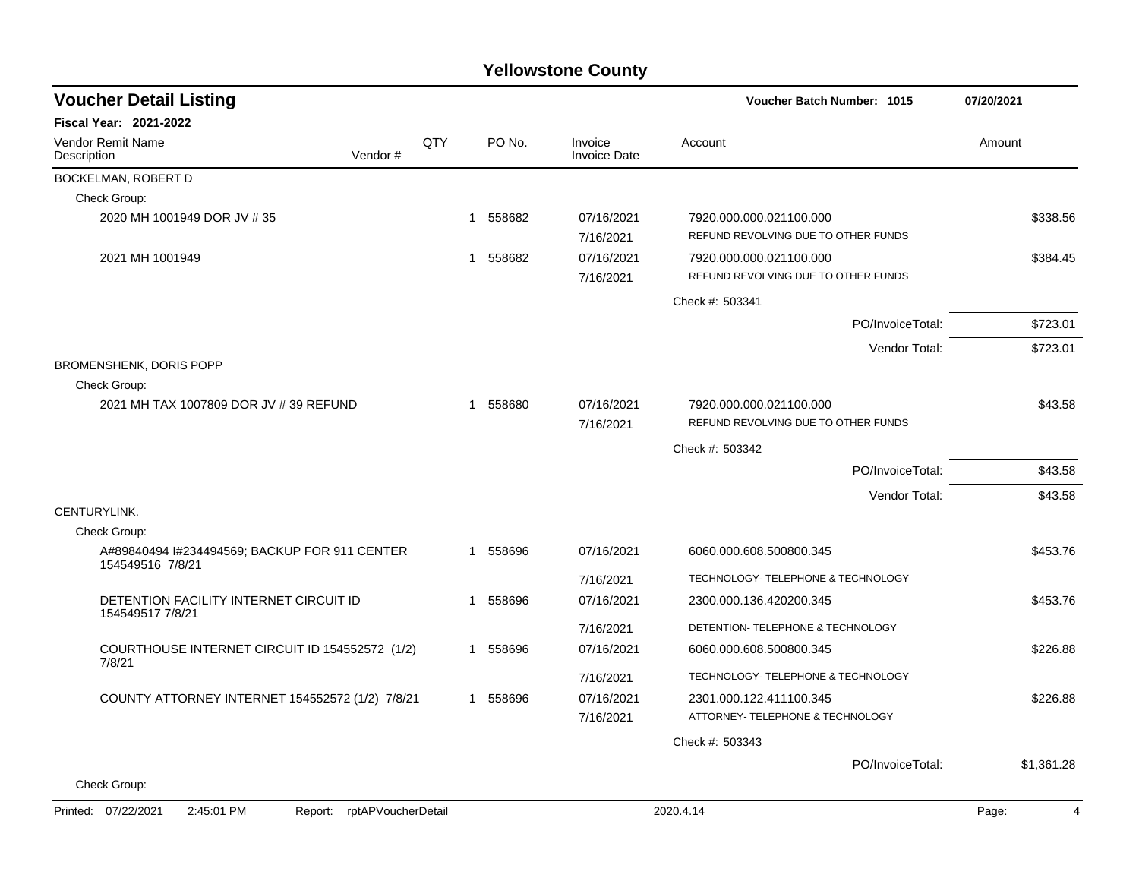| <b>Voucher Detail Listing</b>                                     |                    |     |             |                                | <b>Voucher Batch Number: 1015</b>                              | 07/20/2021 |
|-------------------------------------------------------------------|--------------------|-----|-------------|--------------------------------|----------------------------------------------------------------|------------|
| Fiscal Year: 2021-2022                                            |                    |     |             |                                |                                                                |            |
| Vendor Remit Name<br>Description                                  | Vendor#            | QTY | PO No.      | Invoice<br><b>Invoice Date</b> | Account                                                        | Amount     |
| BOCKELMAN, ROBERT D                                               |                    |     |             |                                |                                                                |            |
| Check Group:                                                      |                    |     |             |                                |                                                                |            |
| 2020 MH 1001949 DOR JV #35                                        |                    |     | 558682<br>1 | 07/16/2021<br>7/16/2021        | 7920.000.000.021100.000<br>REFUND REVOLVING DUE TO OTHER FUNDS | \$338.56   |
| 2021 MH 1001949                                                   |                    |     | 558682<br>1 | 07/16/2021<br>7/16/2021        | 7920.000.000.021100.000<br>REFUND REVOLVING DUE TO OTHER FUNDS | \$384.45   |
|                                                                   |                    |     |             |                                | Check #: 503341                                                |            |
|                                                                   |                    |     |             |                                | PO/InvoiceTotal:                                               | \$723.01   |
|                                                                   |                    |     |             |                                | Vendor Total:                                                  | \$723.01   |
| <b>BROMENSHENK, DORIS POPP</b><br>Check Group:                    |                    |     |             |                                |                                                                |            |
| 2021 MH TAX 1007809 DOR JV # 39 REFUND                            |                    |     | 558680<br>1 | 07/16/2021<br>7/16/2021        | 7920.000.000.021100.000<br>REFUND REVOLVING DUE TO OTHER FUNDS | \$43.58    |
|                                                                   |                    |     |             |                                | Check #: 503342                                                |            |
|                                                                   |                    |     |             |                                | PO/InvoiceTotal:                                               | \$43.58    |
|                                                                   |                    |     |             |                                | Vendor Total:                                                  | \$43.58    |
| CENTURYLINK.                                                      |                    |     |             |                                |                                                                |            |
| Check Group:                                                      |                    |     |             |                                |                                                                |            |
| A#89840494 I#234494569; BACKUP FOR 911 CENTER<br>154549516 7/8/21 |                    |     | 558696<br>1 | 07/16/2021                     | 6060.000.608.500800.345                                        | \$453.76   |
|                                                                   |                    |     |             | 7/16/2021                      | TECHNOLOGY- TELEPHONE & TECHNOLOGY                             |            |
| DETENTION FACILITY INTERNET CIRCUIT ID<br>154549517 7/8/21        |                    |     | 558696<br>1 | 07/16/2021                     | 2300.000.136.420200.345                                        | \$453.76   |
|                                                                   |                    |     |             | 7/16/2021                      | DETENTION- TELEPHONE & TECHNOLOGY                              |            |
| COURTHOUSE INTERNET CIRCUIT ID 154552572 (1/2)                    |                    |     | 558696<br>1 | 07/16/2021                     | 6060.000.608.500800.345                                        | \$226.88   |
| 7/8/21                                                            |                    |     |             | 7/16/2021                      | TECHNOLOGY- TELEPHONE & TECHNOLOGY                             |            |
| COUNTY ATTORNEY INTERNET 154552572 (1/2) 7/8/21                   |                    |     | 558696<br>1 | 07/16/2021<br>7/16/2021        | 2301.000.122.411100.345<br>ATTORNEY- TELEPHONE & TECHNOLOGY    | \$226.88   |
|                                                                   |                    |     |             |                                | Check #: 503343                                                |            |
|                                                                   |                    |     |             |                                | PO/InvoiceTotal:                                               | \$1,361.28 |
| Check Group:                                                      |                    |     |             |                                |                                                                |            |
| Printed: 07/22/2021<br>2:45:01 PM<br>Report:                      | rptAPVoucherDetail |     |             |                                | 2020.4.14                                                      | Page:<br>4 |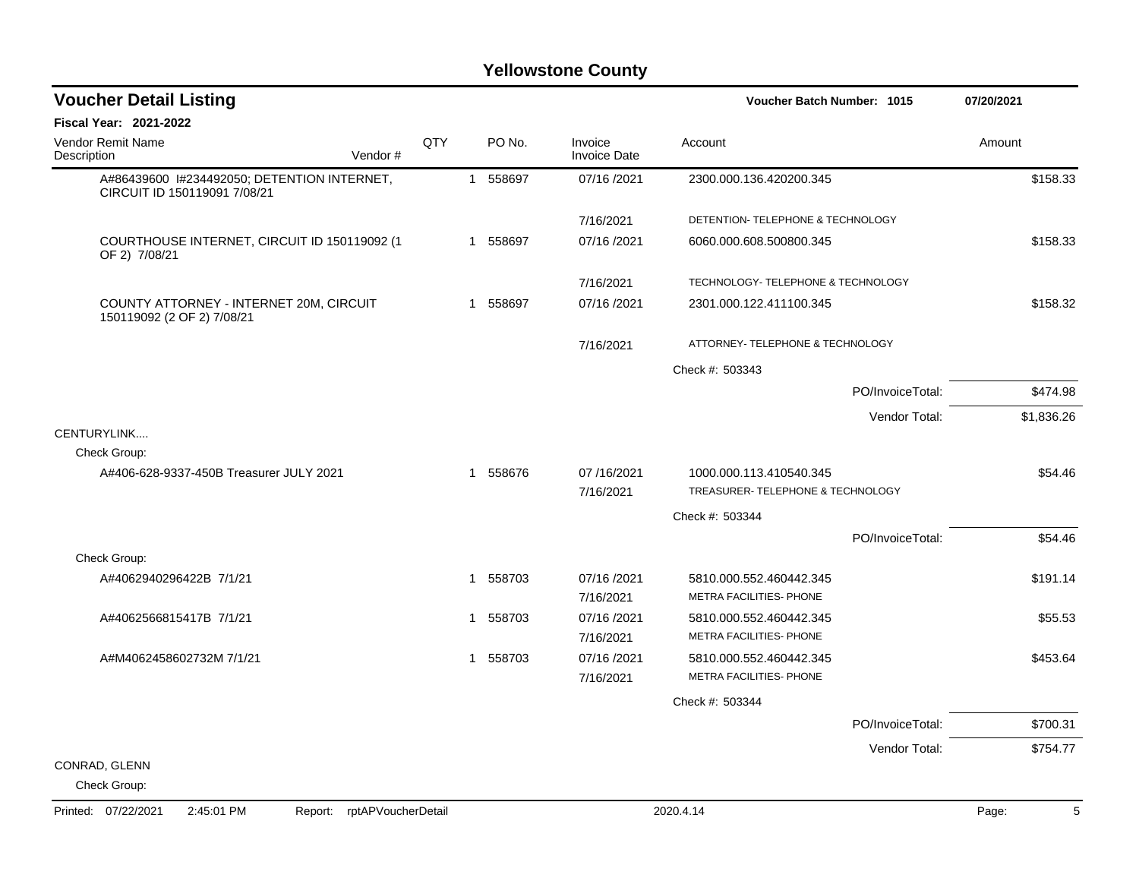| <b>Voucher Detail Listing</b>                                               |            |              |        |                                | Voucher Batch Number: 1015                         | 07/20/2021 |
|-----------------------------------------------------------------------------|------------|--------------|--------|--------------------------------|----------------------------------------------------|------------|
| <b>Fiscal Year: 2021-2022</b>                                               |            |              |        |                                |                                                    |            |
| <b>Vendor Remit Name</b><br>Description<br>Vendor#                          | <b>QTY</b> |              | PO No. | Invoice<br><b>Invoice Date</b> | Account                                            | Amount     |
| A#86439600 I#234492050; DETENTION INTERNET,<br>CIRCUIT ID 150119091 7/08/21 |            | $\mathbf{1}$ | 558697 | 07/16/2021                     | 2300.000.136.420200.345                            | \$158.33   |
|                                                                             |            |              |        | 7/16/2021                      | DETENTION- TELEPHONE & TECHNOLOGY                  |            |
| COURTHOUSE INTERNET, CIRCUIT ID 150119092 (1<br>OF 2) 7/08/21               |            | $\mathbf{1}$ | 558697 | 07/16/2021                     | 6060.000.608.500800.345                            | \$158.33   |
|                                                                             |            |              |        | 7/16/2021                      | TECHNOLOGY- TELEPHONE & TECHNOLOGY                 |            |
| COUNTY ATTORNEY - INTERNET 20M, CIRCUIT<br>150119092 (2 OF 2) 7/08/21       |            | $\mathbf{1}$ | 558697 | 07/16/2021                     | 2301.000.122.411100.345                            | \$158.32   |
|                                                                             |            |              |        | 7/16/2021                      | ATTORNEY- TELEPHONE & TECHNOLOGY                   |            |
|                                                                             |            |              |        |                                | Check #: 503343                                    |            |
|                                                                             |            |              |        |                                | PO/InvoiceTotal:                                   | \$474.98   |
|                                                                             |            |              |        |                                | Vendor Total:                                      | \$1,836.26 |
| CENTURYLINK                                                                 |            |              |        |                                |                                                    |            |
| Check Group:<br>A#406-628-9337-450B Treasurer JULY 2021                     |            | $\mathbf{1}$ | 558676 | 07/16/2021                     | 1000.000.113.410540.345                            | \$54.46    |
|                                                                             |            |              |        | 7/16/2021                      | TREASURER-TELEPHONE & TECHNOLOGY                   |            |
|                                                                             |            |              |        |                                | Check #: 503344                                    |            |
|                                                                             |            |              |        |                                | PO/InvoiceTotal:                                   | \$54.46    |
| Check Group:                                                                |            |              |        |                                |                                                    |            |
| A#4062940296422B 7/1/21                                                     |            | 1            | 558703 | 07/16/2021<br>7/16/2021        | 5810.000.552.460442.345<br>METRA FACILITIES- PHONE | \$191.14   |
| A#4062566815417B 7/1/21                                                     |            | 1            | 558703 | 07/16 /2021                    | 5810.000.552.460442.345                            | \$55.53    |
|                                                                             |            |              |        | 7/16/2021                      | METRA FACILITIES- PHONE                            |            |
| A#M4062458602732M 7/1/21                                                    |            | 1            | 558703 | 07/16 /2021<br>7/16/2021       | 5810.000.552.460442.345<br>METRA FACILITIES- PHONE | \$453.64   |
|                                                                             |            |              |        |                                | Check #: 503344                                    |            |
|                                                                             |            |              |        |                                | PO/InvoiceTotal:                                   | \$700.31   |
|                                                                             |            |              |        |                                | Vendor Total:                                      | \$754.77   |
| CONRAD, GLENN                                                               |            |              |        |                                |                                                    |            |
| Check Group:                                                                |            |              |        |                                |                                                    |            |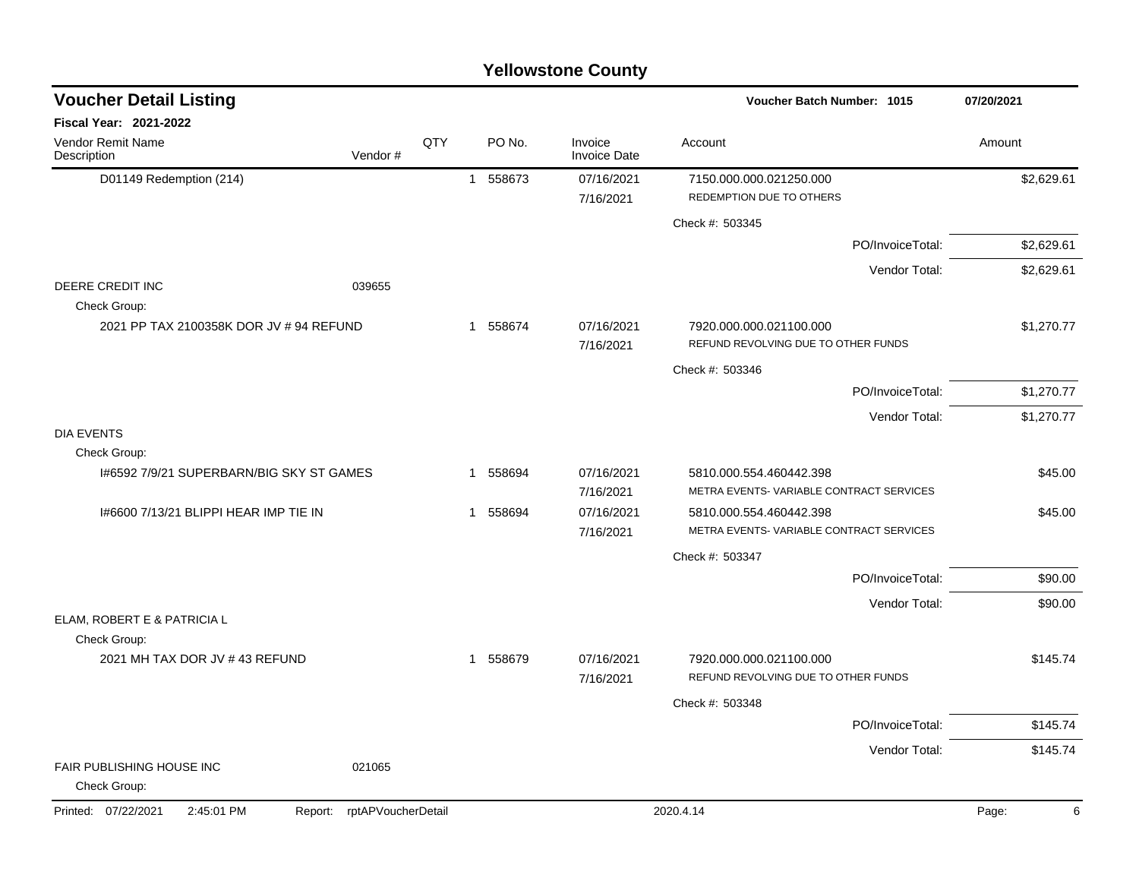| <b>Voucher Detail Listing</b>                            |                               |     |              |          |                                | <b>Voucher Batch Number: 1015</b>                              | 07/20/2021 |
|----------------------------------------------------------|-------------------------------|-----|--------------|----------|--------------------------------|----------------------------------------------------------------|------------|
| <b>Fiscal Year: 2021-2022</b>                            |                               |     |              |          |                                |                                                                |            |
| Vendor Remit Name<br>Description                         | Vendor#                       | QTY |              | PO No.   | Invoice<br><b>Invoice Date</b> | Account                                                        | Amount     |
| D01149 Redemption (214)                                  |                               |     |              | 1 558673 | 07/16/2021<br>7/16/2021        | 7150.000.000.021250.000<br>REDEMPTION DUE TO OTHERS            | \$2,629.61 |
|                                                          |                               |     |              |          |                                | Check #: 503345                                                |            |
|                                                          |                               |     |              |          |                                | PO/InvoiceTotal:                                               | \$2,629.61 |
|                                                          |                               |     |              |          |                                | Vendor Total:                                                  | \$2,629.61 |
| DEERE CREDIT INC<br>Check Group:                         | 039655                        |     |              |          |                                |                                                                |            |
| 2021 PP TAX 2100358K DOR JV # 94 REFUND                  |                               |     |              | 1 558674 | 07/16/2021<br>7/16/2021        | 7920.000.000.021100.000<br>REFUND REVOLVING DUE TO OTHER FUNDS | \$1,270.77 |
|                                                          |                               |     |              |          |                                | Check #: 503346                                                |            |
|                                                          |                               |     |              |          |                                | PO/InvoiceTotal:                                               | \$1,270.77 |
|                                                          |                               |     |              |          |                                | Vendor Total:                                                  | \$1,270.77 |
| <b>DIA EVENTS</b>                                        |                               |     |              |          |                                |                                                                |            |
| Check Group:<br>1#6592 7/9/21 SUPERBARN/BIG SKY ST GAMES |                               |     | $\mathbf{1}$ | 558694   | 07/16/2021                     | 5810.000.554.460442.398                                        | \$45.00    |
|                                                          |                               |     |              |          | 7/16/2021                      | METRA EVENTS-VARIABLE CONTRACT SERVICES                        |            |
| 1#6600 7/13/21 BLIPPI HEAR IMP TIE IN                    |                               |     | $\mathbf 1$  | 558694   | 07/16/2021                     | 5810.000.554.460442.398                                        | \$45.00    |
|                                                          |                               |     |              |          | 7/16/2021                      | METRA EVENTS-VARIABLE CONTRACT SERVICES                        |            |
|                                                          |                               |     |              |          |                                | Check #: 503347                                                |            |
|                                                          |                               |     |              |          |                                | PO/InvoiceTotal:                                               | \$90.00    |
| ELAM, ROBERT E & PATRICIA L                              |                               |     |              |          |                                | Vendor Total:                                                  | \$90.00    |
| Check Group:                                             |                               |     |              |          |                                |                                                                |            |
| 2021 MH TAX DOR JV #43 REFUND                            |                               |     |              | 1 558679 | 07/16/2021                     | 7920.000.000.021100.000                                        | \$145.74   |
|                                                          |                               |     |              |          | 7/16/2021                      | REFUND REVOLVING DUE TO OTHER FUNDS                            |            |
|                                                          |                               |     |              |          |                                | Check #: 503348                                                |            |
|                                                          |                               |     |              |          |                                | PO/InvoiceTotal:                                               | \$145.74   |
|                                                          |                               |     |              |          |                                | Vendor Total:                                                  | \$145.74   |
| FAIR PUBLISHING HOUSE INC<br>Check Group:                | 021065                        |     |              |          |                                |                                                                |            |
| Printed: 07/22/2021<br>2:45:01 PM                        | rptAPVoucherDetail<br>Report: |     |              |          |                                | 2020.4.14                                                      | Page:<br>6 |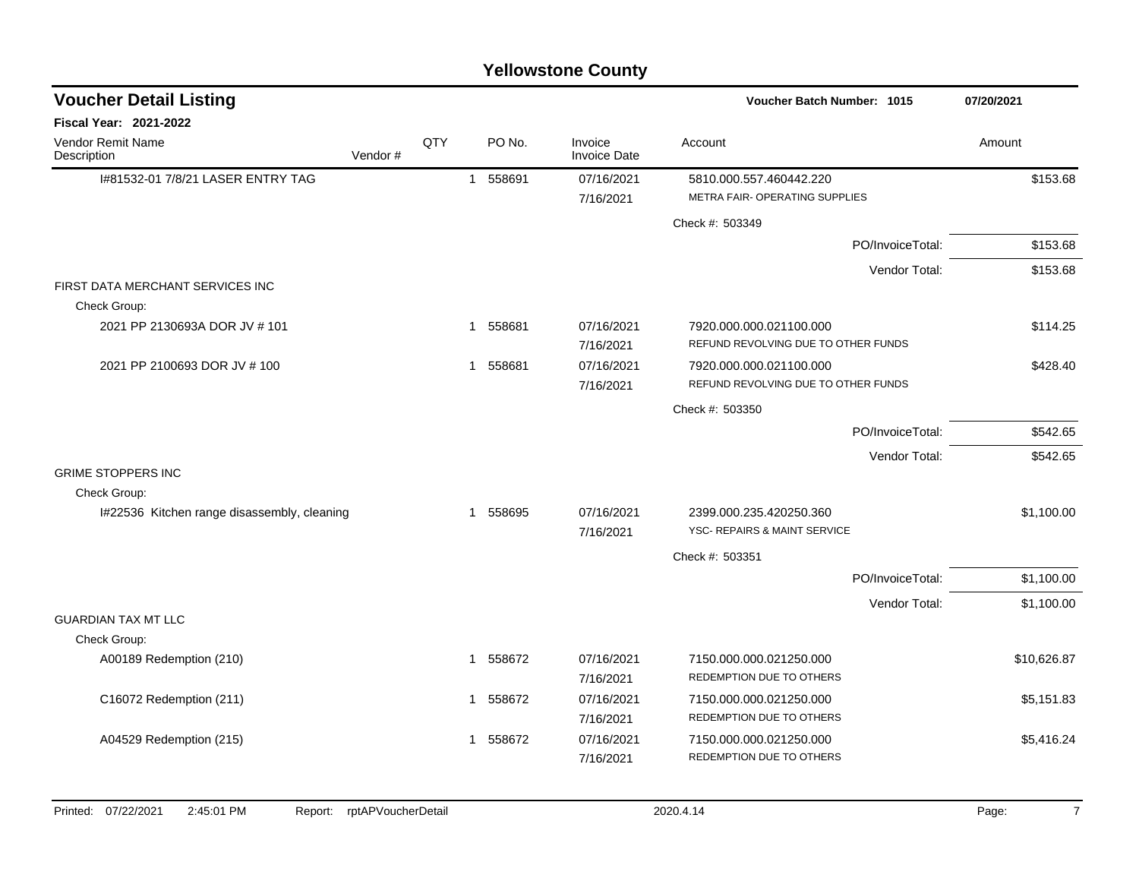|                                                  |         |     |                          | <u>. SHOMOLOHO OOGHIY</u>      |                                                                |             |
|--------------------------------------------------|---------|-----|--------------------------|--------------------------------|----------------------------------------------------------------|-------------|
| <b>Voucher Detail Listing</b>                    |         |     |                          |                                | Voucher Batch Number: 1015                                     | 07/20/2021  |
| <b>Fiscal Year: 2021-2022</b>                    |         |     |                          |                                |                                                                |             |
| <b>Vendor Remit Name</b><br>Description          | Vendor# | QTY | PO No.                   | Invoice<br><b>Invoice Date</b> | Account                                                        | Amount      |
| 1#81532-01 7/8/21 LASER ENTRY TAG                |         |     | 558691<br>$\overline{1}$ | 07/16/2021                     | 5810.000.557.460442.220                                        | \$153.68    |
|                                                  |         |     |                          | 7/16/2021                      | METRA FAIR- OPERATING SUPPLIES                                 |             |
|                                                  |         |     |                          |                                | Check #: 503349                                                |             |
|                                                  |         |     |                          |                                | PO/InvoiceTotal:                                               | \$153.68    |
|                                                  |         |     |                          |                                | Vendor Total:                                                  | \$153.68    |
| FIRST DATA MERCHANT SERVICES INC<br>Check Group: |         |     |                          |                                |                                                                |             |
| 2021 PP 2130693A DOR JV #101                     |         |     | 558681<br>-1             | 07/16/2021<br>7/16/2021        | 7920.000.000.021100.000<br>REFUND REVOLVING DUE TO OTHER FUNDS | \$114.25    |
| 2021 PP 2100693 DOR JV # 100                     |         |     | 1 558681                 | 07/16/2021                     | 7920.000.000.021100.000                                        | \$428.40    |
|                                                  |         |     |                          | 7/16/2021                      | REFUND REVOLVING DUE TO OTHER FUNDS                            |             |
|                                                  |         |     |                          |                                | Check #: 503350                                                |             |
|                                                  |         |     |                          |                                | PO/InvoiceTotal:                                               | \$542.65    |
|                                                  |         |     |                          |                                | Vendor Total:                                                  | \$542.65    |
| <b>GRIME STOPPERS INC</b>                        |         |     |                          |                                |                                                                |             |
| Check Group:                                     |         |     |                          |                                |                                                                |             |
| I#22536 Kitchen range disassembly, cleaning      |         |     | 1 558695                 | 07/16/2021<br>7/16/2021        | 2399.000.235.420250.360<br>YSC- REPAIRS & MAINT SERVICE        | \$1,100.00  |
|                                                  |         |     |                          |                                |                                                                |             |
|                                                  |         |     |                          |                                | Check #: 503351                                                |             |
|                                                  |         |     |                          |                                | PO/InvoiceTotal:                                               | \$1,100.00  |
| <b>GUARDIAN TAX MT LLC</b>                       |         |     |                          |                                | Vendor Total:                                                  | \$1,100.00  |
| Check Group:                                     |         |     |                          |                                |                                                                |             |
| A00189 Redemption (210)                          |         |     | 558672<br>$\overline{1}$ | 07/16/2021                     | 7150.000.000.021250.000                                        | \$10,626.87 |
|                                                  |         |     |                          | 7/16/2021                      | REDEMPTION DUE TO OTHERS                                       |             |
| C16072 Redemption (211)                          |         |     | 558672<br>$\overline{1}$ | 07/16/2021                     | 7150.000.000.021250.000                                        | \$5,151.83  |
|                                                  |         |     |                          | 7/16/2021                      | REDEMPTION DUE TO OTHERS                                       |             |
| A04529 Redemption (215)                          |         |     | 558672<br>$\mathbf 1$    | 07/16/2021                     | 7150.000.000.021250.000                                        | \$5,416.24  |
|                                                  |         |     |                          | 7/16/2021                      | REDEMPTION DUE TO OTHERS                                       |             |
|                                                  |         |     |                          |                                |                                                                |             |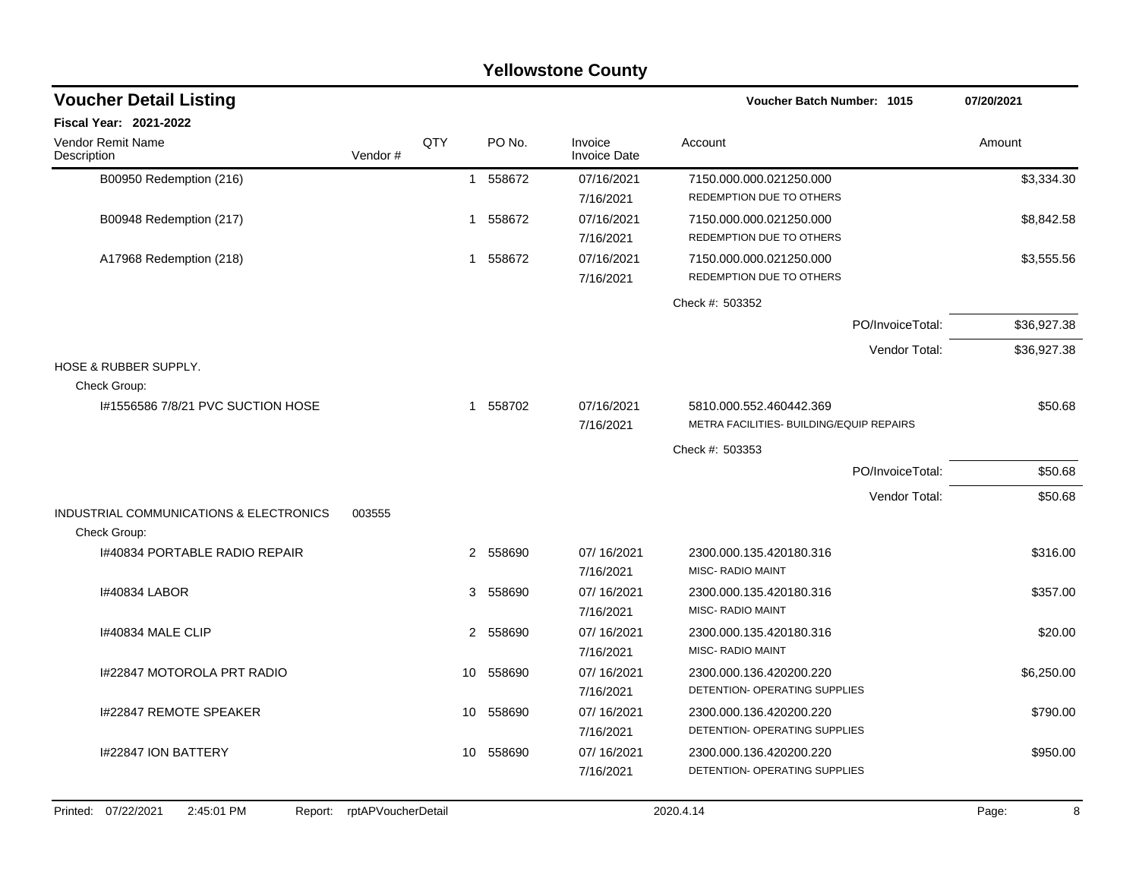| <b>Yellowstone County</b>                               |         |                |          |                                |                                                                     |             |  |  |  |  |  |  |
|---------------------------------------------------------|---------|----------------|----------|--------------------------------|---------------------------------------------------------------------|-------------|--|--|--|--|--|--|
| <b>Voucher Detail Listing</b>                           |         |                |          |                                | <b>Voucher Batch Number: 1015</b>                                   | 07/20/2021  |  |  |  |  |  |  |
| <b>Fiscal Year: 2021-2022</b>                           |         |                |          |                                |                                                                     |             |  |  |  |  |  |  |
| <b>Vendor Remit Name</b><br>Description                 | Vendor# | QTY            | PO No.   | Invoice<br><b>Invoice Date</b> | Account                                                             | Amount      |  |  |  |  |  |  |
| B00950 Redemption (216)                                 |         |                | 1 558672 | 07/16/2021<br>7/16/2021        | 7150.000.000.021250.000<br>REDEMPTION DUE TO OTHERS                 | \$3,334.30  |  |  |  |  |  |  |
| B00948 Redemption (217)                                 |         | $\mathbf{1}$   | 558672   | 07/16/2021<br>7/16/2021        | 7150.000.000.021250.000<br>REDEMPTION DUE TO OTHERS                 | \$8,842.58  |  |  |  |  |  |  |
| A17968 Redemption (218)                                 |         | $\mathbf{1}$   | 558672   | 07/16/2021<br>7/16/2021        | 7150.000.000.021250.000<br>REDEMPTION DUE TO OTHERS                 | \$3,555.56  |  |  |  |  |  |  |
|                                                         |         |                |          |                                | Check #: 503352                                                     |             |  |  |  |  |  |  |
|                                                         |         |                |          |                                | PO/InvoiceTotal:                                                    | \$36,927.38 |  |  |  |  |  |  |
|                                                         |         |                |          |                                | Vendor Total:                                                       | \$36,927.38 |  |  |  |  |  |  |
| HOSE & RUBBER SUPPLY.                                   |         |                |          |                                |                                                                     |             |  |  |  |  |  |  |
| Check Group:                                            |         |                |          |                                |                                                                     |             |  |  |  |  |  |  |
| I#1556586 7/8/21 PVC SUCTION HOSE                       |         |                | 1 558702 | 07/16/2021<br>7/16/2021        | 5810.000.552.460442.369<br>METRA FACILITIES- BUILDING/EQUIP REPAIRS | \$50.68     |  |  |  |  |  |  |
|                                                         |         |                |          |                                | Check #: 503353                                                     |             |  |  |  |  |  |  |
|                                                         |         |                |          |                                | PO/InvoiceTotal:                                                    | \$50.68     |  |  |  |  |  |  |
|                                                         |         |                |          |                                | Vendor Total:                                                       | \$50.68     |  |  |  |  |  |  |
| INDUSTRIAL COMMUNICATIONS & ELECTRONICS<br>Check Group: | 003555  |                |          |                                |                                                                     |             |  |  |  |  |  |  |
| 1#40834 PORTABLE RADIO REPAIR                           |         | $\overline{2}$ | 558690   | 07/16/2021<br>7/16/2021        | 2300.000.135.420180.316<br>MISC- RADIO MAINT                        | \$316.00    |  |  |  |  |  |  |
| I#40834 LABOR                                           |         | 3              | 558690   | 07/16/2021<br>7/16/2021        | 2300.000.135.420180.316<br>MISC- RADIO MAINT                        | \$357.00    |  |  |  |  |  |  |
| 1#40834 MALE CLIP                                       |         | 2              | 558690   | 07/16/2021<br>7/16/2021        | 2300.000.135.420180.316<br>MISC- RADIO MAINT                        | \$20.00     |  |  |  |  |  |  |
| 1#22847 MOTOROLA PRT RADIO                              |         | 10             | 558690   | 07/16/2021<br>7/16/2021        | 2300.000.136.420200.220<br>DETENTION- OPERATING SUPPLIES            | \$6,250.00  |  |  |  |  |  |  |
| I#22847 REMOTE SPEAKER                                  |         | 10             | 558690   | 07/16/2021<br>7/16/2021        | 2300.000.136.420200.220<br>DETENTION- OPERATING SUPPLIES            | \$790.00    |  |  |  |  |  |  |
| I#22847 ION BATTERY                                     |         | 10             | 558690   | 07/16/2021<br>7/16/2021        | 2300.000.136.420200.220<br>DETENTION- OPERATING SUPPLIES            | \$950.00    |  |  |  |  |  |  |

#### Printed: 07/22/2021 2:45:01 PM Report: rptAPVoucherDetail 2020.4.14 2020.4.14 Page: 8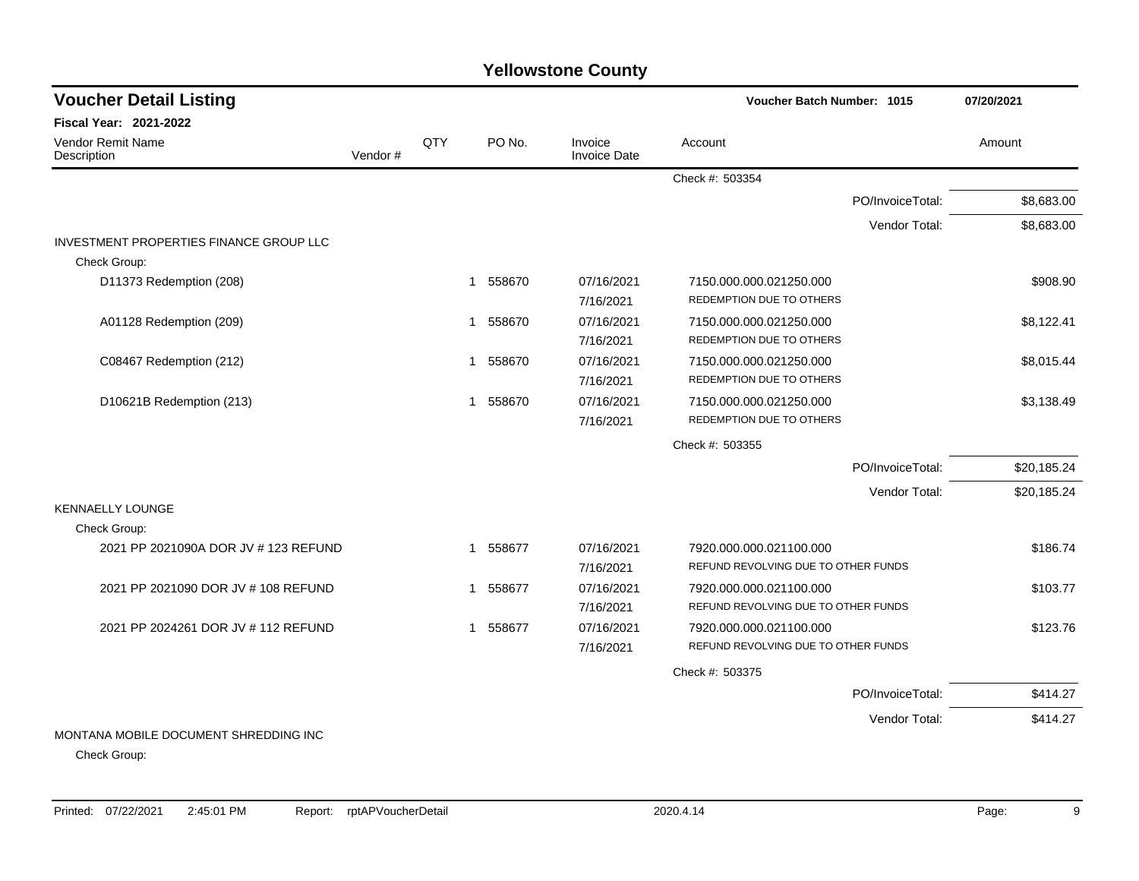| <b>Voucher Detail Listing</b>                  |         |     |                       |                                | Voucher Batch Number: 1015          |                  | 07/20/2021  |
|------------------------------------------------|---------|-----|-----------------------|--------------------------------|-------------------------------------|------------------|-------------|
| <b>Fiscal Year: 2021-2022</b>                  |         |     |                       |                                |                                     |                  |             |
| Vendor Remit Name<br>Description               | Vendor# | QTY | PO No.                | Invoice<br><b>Invoice Date</b> | Account                             |                  | Amount      |
|                                                |         |     |                       |                                | Check #: 503354                     |                  |             |
|                                                |         |     |                       |                                |                                     | PO/InvoiceTotal: | \$8,683.00  |
|                                                |         |     |                       |                                |                                     | Vendor Total:    | \$8,683.00  |
| <b>INVESTMENT PROPERTIES FINANCE GROUP LLC</b> |         |     |                       |                                |                                     |                  |             |
| Check Group:                                   |         |     |                       |                                |                                     |                  |             |
| D11373 Redemption (208)                        |         |     | 558670<br>$\mathbf 1$ | 07/16/2021                     | 7150.000.000.021250.000             |                  | \$908.90    |
|                                                |         |     |                       | 7/16/2021                      | REDEMPTION DUE TO OTHERS            |                  |             |
| A01128 Redemption (209)                        |         |     | 1 558670              | 07/16/2021                     | 7150.000.000.021250.000             |                  | \$8,122.41  |
|                                                |         |     |                       | 7/16/2021                      | REDEMPTION DUE TO OTHERS            |                  |             |
| C08467 Redemption (212)                        |         |     | 558670<br>1           | 07/16/2021                     | 7150.000.000.021250.000             |                  | \$8,015.44  |
|                                                |         |     |                       | 7/16/2021                      | REDEMPTION DUE TO OTHERS            |                  |             |
| D10621B Redemption (213)                       |         |     | 1 558670              | 07/16/2021                     | 7150.000.000.021250.000             |                  | \$3,138.49  |
|                                                |         |     |                       | 7/16/2021                      | REDEMPTION DUE TO OTHERS            |                  |             |
|                                                |         |     |                       |                                | Check #: 503355                     |                  |             |
|                                                |         |     |                       |                                |                                     | PO/InvoiceTotal: | \$20,185.24 |
|                                                |         |     |                       |                                |                                     | Vendor Total:    | \$20,185.24 |
| <b>KENNAELLY LOUNGE</b>                        |         |     |                       |                                |                                     |                  |             |
| Check Group:                                   |         |     |                       |                                |                                     |                  |             |
| 2021 PP 2021090A DOR JV # 123 REFUND           |         |     | 558677<br>-1          | 07/16/2021                     | 7920.000.000.021100.000             |                  | \$186.74    |
|                                                |         |     |                       | 7/16/2021                      | REFUND REVOLVING DUE TO OTHER FUNDS |                  |             |
| 2021 PP 2021090 DOR JV # 108 REFUND            |         |     | 558677<br>1           | 07/16/2021                     | 7920.000.000.021100.000             |                  | \$103.77    |
|                                                |         |     |                       | 7/16/2021                      | REFUND REVOLVING DUE TO OTHER FUNDS |                  |             |
| 2021 PP 2024261 DOR JV # 112 REFUND            |         |     | 558677<br>1           | 07/16/2021                     | 7920.000.000.021100.000             |                  | \$123.76    |
|                                                |         |     |                       | 7/16/2021                      | REFUND REVOLVING DUE TO OTHER FUNDS |                  |             |
|                                                |         |     |                       |                                | Check #: 503375                     |                  |             |
|                                                |         |     |                       |                                |                                     | PO/InvoiceTotal: | \$414.27    |
|                                                |         |     |                       |                                |                                     | Vendor Total:    | \$414.27    |
| MONTANA MOBILE DOCUMENT SHREDDING INC          |         |     |                       |                                |                                     |                  |             |

Check Group: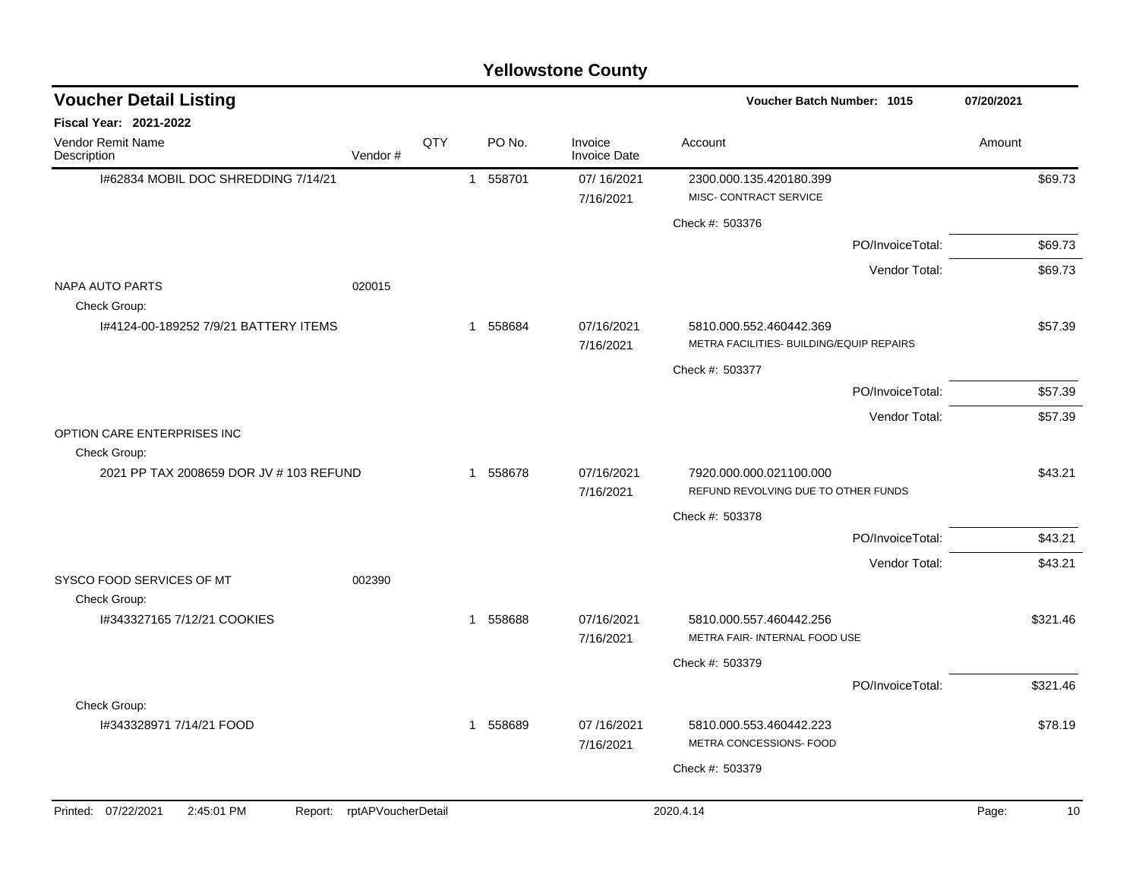| <b>Voucher Detail Listing</b>                |                    |     |              |          |                                | Voucher Batch Number: 1015                                          |                  | 07/20/2021 |          |
|----------------------------------------------|--------------------|-----|--------------|----------|--------------------------------|---------------------------------------------------------------------|------------------|------------|----------|
| Fiscal Year: 2021-2022                       |                    |     |              |          |                                |                                                                     |                  |            |          |
| Vendor Remit Name<br>Description             | Vendor#            | QTY |              | PO No.   | Invoice<br><b>Invoice Date</b> | Account                                                             |                  | Amount     |          |
| I#62834 MOBIL DOC SHREDDING 7/14/21          |                    |     |              | 1 558701 | 07/16/2021<br>7/16/2021        | 2300.000.135.420180.399<br>MISC- CONTRACT SERVICE                   |                  |            | \$69.73  |
|                                              |                    |     |              |          |                                | Check #: 503376                                                     |                  |            |          |
|                                              |                    |     |              |          |                                |                                                                     | PO/InvoiceTotal: |            | \$69.73  |
|                                              |                    |     |              |          |                                |                                                                     | Vendor Total:    |            | \$69.73  |
| <b>NAPA AUTO PARTS</b><br>Check Group:       | 020015             |     |              |          |                                |                                                                     |                  |            |          |
| 1#4124-00-189252 7/9/21 BATTERY ITEMS        |                    |     |              | 1 558684 | 07/16/2021<br>7/16/2021        | 5810.000.552.460442.369<br>METRA FACILITIES- BUILDING/EQUIP REPAIRS |                  |            | \$57.39  |
|                                              |                    |     |              |          |                                | Check #: 503377                                                     |                  |            |          |
|                                              |                    |     |              |          |                                |                                                                     | PO/InvoiceTotal: |            | \$57.39  |
|                                              |                    |     |              |          |                                |                                                                     | Vendor Total:    |            | \$57.39  |
| OPTION CARE ENTERPRISES INC<br>Check Group:  |                    |     |              |          |                                |                                                                     |                  |            |          |
| 2021 PP TAX 2008659 DOR JV # 103 REFUND      |                    |     |              | 1 558678 | 07/16/2021<br>7/16/2021        | 7920.000.000.021100.000<br>REFUND REVOLVING DUE TO OTHER FUNDS      |                  |            | \$43.21  |
|                                              |                    |     |              |          |                                | Check #: 503378                                                     |                  |            |          |
|                                              |                    |     |              |          |                                |                                                                     | PO/InvoiceTotal: |            | \$43.21  |
|                                              |                    |     |              |          |                                |                                                                     | Vendor Total:    |            | \$43.21  |
| SYSCO FOOD SERVICES OF MT<br>Check Group:    | 002390             |     |              |          |                                |                                                                     |                  |            |          |
| I#343327165 7/12/21 COOKIES                  |                    |     | $\mathbf{1}$ | 558688   | 07/16/2021<br>7/16/2021        | 5810.000.557.460442.256<br>METRA FAIR- INTERNAL FOOD USE            |                  |            | \$321.46 |
|                                              |                    |     |              |          |                                | Check #: 503379                                                     |                  |            |          |
|                                              |                    |     |              |          |                                |                                                                     | PO/InvoiceTotal: |            | \$321.46 |
| Check Group:                                 |                    |     |              |          |                                |                                                                     |                  |            |          |
| I#343328971 7/14/21 FOOD                     |                    |     | $\mathbf{1}$ | 558689   | 07/16/2021<br>7/16/2021        | 5810.000.553.460442.223<br>METRA CONCESSIONS- FOOD                  |                  |            | \$78.19  |
|                                              |                    |     |              |          |                                | Check #: 503379                                                     |                  |            |          |
|                                              |                    |     |              |          |                                |                                                                     |                  |            |          |
| Printed: 07/22/2021<br>2:45:01 PM<br>Report: | rptAPVoucherDetail |     |              |          |                                | 2020.4.14                                                           |                  | Page:      | 10       |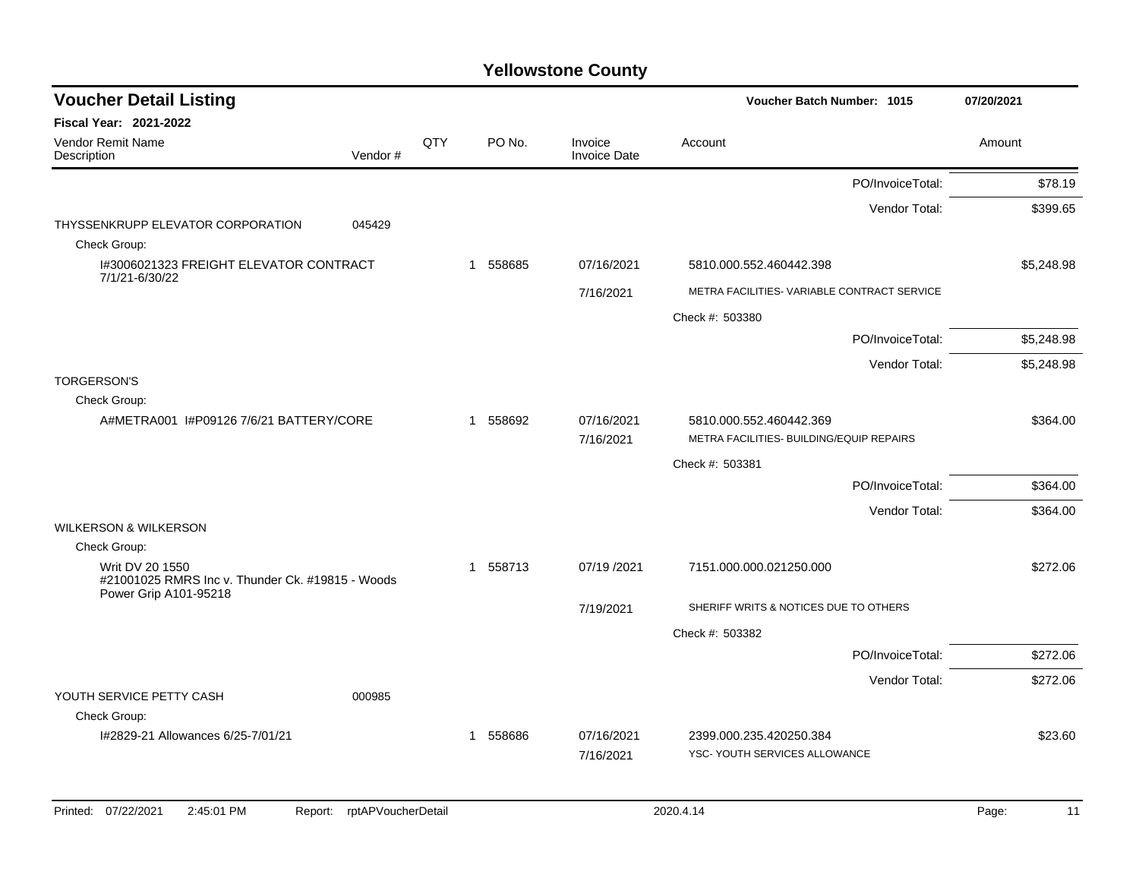| <b>Voucher Detail Listing</b>                                       |         |     |             |                                | Voucher Batch Number: 1015                  | 07/20/2021 |
|---------------------------------------------------------------------|---------|-----|-------------|--------------------------------|---------------------------------------------|------------|
| <b>Fiscal Year: 2021-2022</b>                                       |         |     |             |                                |                                             |            |
| <b>Vendor Remit Name</b><br>Description                             | Vendor# | QTY | PO No.      | Invoice<br><b>Invoice Date</b> | Account                                     | Amount     |
|                                                                     |         |     |             |                                | PO/InvoiceTotal:                            | \$78.19    |
|                                                                     |         |     |             |                                | Vendor Total:                               | \$399.65   |
| THYSSENKRUPP ELEVATOR CORPORATION                                   | 045429  |     |             |                                |                                             |            |
| Check Group:<br>I#3006021323 FREIGHT ELEVATOR CONTRACT              |         |     | 558685<br>1 | 07/16/2021                     | 5810.000.552.460442.398                     | \$5,248.98 |
| 7/1/21-6/30/22                                                      |         |     |             | 7/16/2021                      | METRA FACILITIES- VARIABLE CONTRACT SERVICE |            |
|                                                                     |         |     |             |                                | Check #: 503380                             |            |
|                                                                     |         |     |             |                                | PO/InvoiceTotal:                            | \$5,248.98 |
|                                                                     |         |     |             |                                | Vendor Total:                               | \$5,248.98 |
| <b>TORGERSON'S</b>                                                  |         |     |             |                                |                                             |            |
| Check Group:                                                        |         |     |             |                                |                                             |            |
| A#METRA001 I#P09126 7/6/21 BATTERY/CORE                             |         |     | 1 558692    | 07/16/2021                     | 5810.000.552.460442.369                     | \$364.00   |
|                                                                     |         |     |             | 7/16/2021                      | METRA FACILITIES- BUILDING/EQUIP REPAIRS    |            |
|                                                                     |         |     |             |                                | Check #: 503381                             |            |
|                                                                     |         |     |             |                                | PO/InvoiceTotal:                            | \$364.00   |
|                                                                     |         |     |             |                                | Vendor Total:                               | \$364.00   |
| <b>WILKERSON &amp; WILKERSON</b><br>Check Group:                    |         |     |             |                                |                                             |            |
| Writ DV 20 1550<br>#21001025 RMRS Inc v. Thunder Ck. #19815 - Woods |         |     | 558713<br>1 | 07/19/2021                     | 7151.000.000.021250.000                     | \$272.06   |
| Power Grip A101-95218                                               |         |     |             | 7/19/2021                      | SHERIFF WRITS & NOTICES DUE TO OTHERS       |            |
|                                                                     |         |     |             |                                | Check #: 503382                             |            |
|                                                                     |         |     |             |                                | PO/InvoiceTotal:                            | \$272.06   |
|                                                                     |         |     |             |                                | Vendor Total:                               | \$272.06   |
| YOUTH SERVICE PETTY CASH<br>Check Group:                            | 000985  |     |             |                                |                                             |            |
| I#2829-21 Allowances 6/25-7/01/21                                   |         |     | 558686<br>1 | 07/16/2021                     | 2399.000.235.420250.384                     | \$23.60    |
|                                                                     |         |     |             | 7/16/2021                      | YSC- YOUTH SERVICES ALLOWANCE               |            |
|                                                                     |         |     |             |                                |                                             |            |